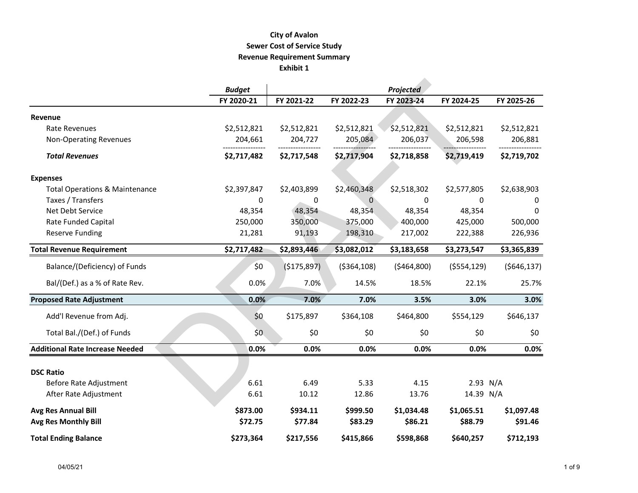## **City of Avalon Revenue Requirement Summary Exhibit 1 Sewer Cost of Service Study**

|                                           | <b>Budget</b> |             |               | Projected   |               |              |
|-------------------------------------------|---------------|-------------|---------------|-------------|---------------|--------------|
|                                           | FY 2020-21    | FY 2021-22  | FY 2022-23    | FY 2023-24  | FY 2024-25    | FY 2025-26   |
| Revenue                                   |               |             |               |             |               |              |
| Rate Revenues                             | \$2,512,821   | \$2,512,821 | \$2,512,821   | \$2,512,821 | \$2,512,821   | \$2,512,821  |
| <b>Non-Operating Revenues</b>             | 204,661       | 204,727     | 205,084       | 206,037     | 206,598       | 206,881      |
| <b>Total Revenues</b>                     | \$2,717,482   | \$2,717,548 | \$2,717,904   | \$2,718,858 | \$2,719,419   | \$2,719,702  |
| <b>Expenses</b>                           |               |             |               |             |               |              |
| <b>Total Operations &amp; Maintenance</b> | \$2,397,847   | \$2,403,899 | \$2,460,348   | \$2,518,302 | \$2,577,805   | \$2,638,903  |
| Taxes / Transfers                         | $\mathbf{0}$  | 0           | $\Omega$      | $\Omega$    | 0             | 0            |
| Net Debt Service                          | 48,354        | 48,354      | 48,354        | 48,354      | 48,354        | <sup>0</sup> |
| <b>Rate Funded Capital</b>                | 250,000       | 350,000     | 375,000       | 400,000     | 425,000       | 500,000      |
| <b>Reserve Funding</b>                    | 21,281        | 91,193      | 198,310       | 217,002     | 222,388       | 226,936      |
| <b>Total Revenue Requirement</b>          | \$2,717,482   | \$2,893,446 | \$3,082,012   | \$3,183,658 | \$3,273,547   | \$3,365,839  |
| Balance/(Deficiency) of Funds             | \$0           | (\$175,897) | ( \$364, 108) | (5464,800)  | ( \$554, 129) | (5646, 137)  |
| Bal/(Def.) as a % of Rate Rev.            | 0.0%          | 7.0%        | 14.5%         | 18.5%       | 22.1%         | 25.7%        |
| <b>Proposed Rate Adjustment</b>           | 0.0%          | 7.0%        | 7.0%          | 3.5%        | 3.0%          | 3.0%         |
| Add'l Revenue from Adj.                   | \$0           | \$175,897   | \$364,108     | \$464,800   | \$554,129     | \$646,137    |
| Total Bal./(Def.) of Funds                | \$0           | \$0         | \$0           | \$0         | \$0           | \$0          |
| <b>Additional Rate Increase Needed</b>    | 0.0%          | 0.0%        | 0.0%          | 0.0%        | 0.0%          | 0.0%         |
|                                           |               |             |               |             |               |              |
| <b>DSC Ratio</b>                          |               |             |               |             |               |              |
| Before Rate Adjustment                    | 6.61          | 6.49        | 5.33          | 4.15        | 2.93 N/A      |              |
| After Rate Adjustment                     | 6.61          | 10.12       | 12.86         | 13.76       | 14.39 N/A     |              |
| Avg Res Annual Bill                       | \$873.00      | \$934.11    | \$999.50      | \$1,034.48  | \$1,065.51    | \$1,097.48   |
| <b>Avg Res Monthly Bill</b>               | \$72.75       | \$77.84     | \$83.29       | \$86.21     | \$88.79       | \$91.46      |
| <b>Total Ending Balance</b>               | \$273,364     | \$217,556   | \$415,866     | \$598,868   | \$640,257     | \$712,193    |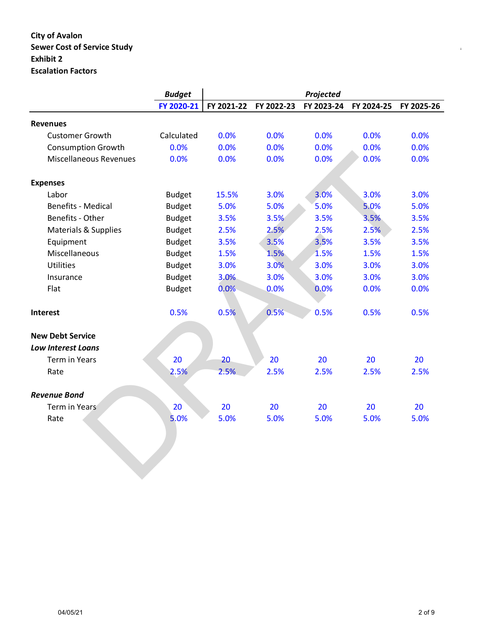# **City of Avalon Sewer Cost of Service Study** *Page 1 of 3o**Page 1 of 3o**Page 1 of 3o**Page 1o**Page 1o**Page 1o**Page 1o**Page 1o**Page 1o**Page 1o**Page 1o**Page 1o**Page 1o**Page 1o**Page 1* **Exhibit 2 Escalation Factors**

|                                 | <b>Budget</b> |            |            | Projected  |            |            |
|---------------------------------|---------------|------------|------------|------------|------------|------------|
|                                 | FY 2020-21    | FY 2021-22 | FY 2022-23 | FY 2023-24 | FY 2024-25 | FY 2025-26 |
| <b>Revenues</b>                 |               |            |            |            |            |            |
| <b>Customer Growth</b>          | Calculated    | 0.0%       | 0.0%       | 0.0%       | 0.0%       | 0.0%       |
| <b>Consumption Growth</b>       | 0.0%          | 0.0%       | 0.0%       | 0.0%       | 0.0%       | 0.0%       |
| <b>Miscellaneous Revenues</b>   | 0.0%          | 0.0%       | 0.0%       | 0.0%       | 0.0%       | 0.0%       |
| <b>Expenses</b>                 |               |            |            |            |            |            |
| Labor                           | <b>Budget</b> | 15.5%      | 3.0%       | 3.0%       | 3.0%       | 3.0%       |
| <b>Benefits - Medical</b>       | <b>Budget</b> | 5.0%       | 5.0%       | 5.0%       | 5.0%       | 5.0%       |
| Benefits - Other                | <b>Budget</b> | 3.5%       | 3.5%       | 3.5%       | 3.5%       | 3.5%       |
| <b>Materials &amp; Supplies</b> | <b>Budget</b> | 2.5%       | 2.5%       | 2.5%       | 2.5%       | 2.5%       |
| Equipment                       | <b>Budget</b> | 3.5%       | 3.5%       | 3.5%       | 3.5%       | 3.5%       |
| Miscellaneous                   | <b>Budget</b> | 1.5%       | 1.5%       | 1.5%       | 1.5%       | 1.5%       |
| <b>Utilities</b>                | <b>Budget</b> | 3.0%       | 3.0%       | 3.0%       | 3.0%       | 3.0%       |
| Insurance                       | <b>Budget</b> | 3.0%       | 3.0%       | 3.0%       | 3.0%       | 3.0%       |
| Flat                            | <b>Budget</b> | 0.0%       | 0.0%       | 0.0%       | 0.0%       | 0.0%       |
| Interest                        | 0.5%          | 0.5%       | 0.5%       | 0.5%       | 0.5%       | 0.5%       |
| <b>New Debt Service</b>         |               |            |            |            |            |            |
| <b>Low Interest Loans</b>       |               |            |            |            |            |            |
| <b>Term in Years</b>            | 20            | 20         | 20         | 20         | 20         | 20         |
| Rate                            | 2.5%          | 2.5%       | 2.5%       | 2.5%       | 2.5%       | 2.5%       |
| <b>Revenue Bond</b>             |               |            |            |            |            |            |
| Term in Years                   | 20            | 20         | 20         | 20         | 20         | 20         |
| Rate                            | 5.0%          | 5.0%       | 5.0%       | 5.0%       | 5.0%       | 5.0%       |
|                                 |               |            |            |            |            |            |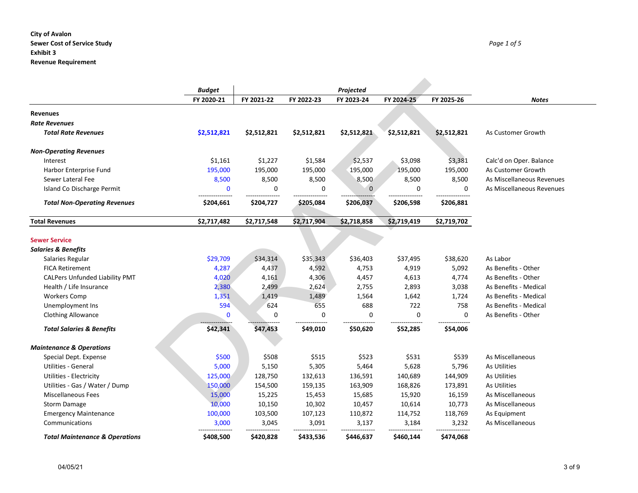#### **City of Avalon Sewer Cost of Service Study** *Page 1 of 5* **Exhibit 3 Revenue Requirement**

|                                           | <b>Budget</b> |             |                  |             |             |             |                           |
|-------------------------------------------|---------------|-------------|------------------|-------------|-------------|-------------|---------------------------|
|                                           | FY 2020-21    | FY 2021-22  | FY 2022-23       | FY 2023-24  | FY 2024-25  | FY 2025-26  | <b>Notes</b>              |
| <b>Revenues</b>                           |               |             |                  |             |             |             |                           |
| <b>Rate Revenues</b>                      |               |             |                  |             |             |             |                           |
| <b>Total Rate Revenues</b>                | \$2,512,821   | \$2,512,821 | \$2,512,821      | \$2,512,821 | \$2,512,821 | \$2,512,821 | As Customer Growth        |
| <b>Non-Operating Revenues</b>             |               |             |                  |             |             |             |                           |
| Interest                                  | \$1,161       | \$1,227     | \$1,584          | \$2,537     | \$3,098     | \$3,381     | Calc'd on Oper. Balance   |
| Harbor Enterprise Fund                    | 195,000       | 195,000     | 195,000          | 195,000     | 195,000     | 195,000     | As Customer Growth        |
| Sewer Lateral Fee                         | 8,500         | 8,500       | 8,500            | 8,500       | 8,500       | 8,500       | As Miscellaneous Revenues |
| Island Co Discharge Permit                | $\mathbf 0$   | 0           | $\mathbf 0$      | $\Omega$    | 0           | $\mathbf 0$ | As Miscellaneous Revenues |
| <b>Total Non-Operating Revenues</b>       | \$204,661     | \$204,727   | \$205,084        | \$206,037   | \$206,598   | \$206,881   |                           |
| <b>Total Revenues</b>                     | \$2,717,482   | \$2,717,548 | \$2,717,904      | \$2,718,858 | \$2,719,419 | \$2,719,702 |                           |
|                                           |               |             |                  |             |             |             |                           |
| <b>Sewer Service</b>                      |               |             |                  |             |             |             |                           |
| <b>Salaries &amp; Benefits</b>            |               |             |                  |             |             |             |                           |
| Salaries Regular                          | \$29,709      | \$34,314    | \$35,343         | \$36,403    | \$37,495    | \$38,620    | As Labor                  |
| <b>FICA Retirement</b>                    | 4,287         | 4,437       | 4,592            | 4,753       | 4,919       | 5,092       | As Benefits - Other       |
| <b>CALPers Unfunded Liability PMT</b>     | 4,020         | 4,161       | 4,306            | 4,457       | 4,613       | 4,774       | As Benefits - Other       |
| Health / Life Insurance                   | 2,380         | 2,499       | 2,624            | 2,755       | 2,893       | 3,038       | As Benefits - Medical     |
| <b>Workers Comp</b>                       | 1,351         | 1,419       | 1,489            | 1,564       | 1,642       | 1,724       | As Benefits - Medical     |
| Unemployment Ins                          | 594           | 624         | 655              | 688         | 722         | 758         | As Benefits - Medical     |
| <b>Clothing Allowance</b>                 | $\mathbf 0$   | 0           | $\mathbf 0$<br>. | 0           | $\mathbf 0$ | $\mathbf 0$ | As Benefits - Other       |
| <b>Total Salaries &amp; Benefits</b>      | \$42,341      | \$47,453    | \$49,010         | \$50,620    | \$52,285    | \$54,006    |                           |
| <b>Maintenance &amp; Operations</b>       |               |             |                  |             |             |             |                           |
| Special Dept. Expense                     | \$500         | \$508       | \$515            | \$523       | \$531       | \$539       | As Miscellaneous          |
| <b>Utilities - General</b>                | 5,000         | 5,150       | 5,305            | 5,464       | 5,628       | 5,796       | As Utilities              |
| <b>Utilities - Electricity</b>            | 125,000       | 128,750     | 132,613          | 136,591     | 140,689     | 144,909     | As Utilities              |
| Utilities - Gas / Water / Dump            | 150,000       | 154,500     | 159,135          | 163,909     | 168,826     | 173,891     | As Utilities              |
| <b>Miscellaneous Fees</b>                 | 15,000        | 15,225      | 15,453           | 15,685      | 15,920      | 16,159      | As Miscellaneous          |
| Storm Damage                              | 10,000        | 10,150      | 10,302           | 10,457      | 10,614      | 10,773      | As Miscellaneous          |
| <b>Emergency Maintenance</b>              | 100,000       | 103,500     | 107,123          | 110,872     | 114,752     | 118,769     | As Equipment              |
| Communications                            | 3,000         | 3,045       | 3,091            | 3,137       | 3,184       | 3,232       | As Miscellaneous          |
| <b>Total Maintenance &amp; Operations</b> | \$408,500     | \$420,828   | \$433,536        | \$446,637   | \$460,144   | \$474.068   |                           |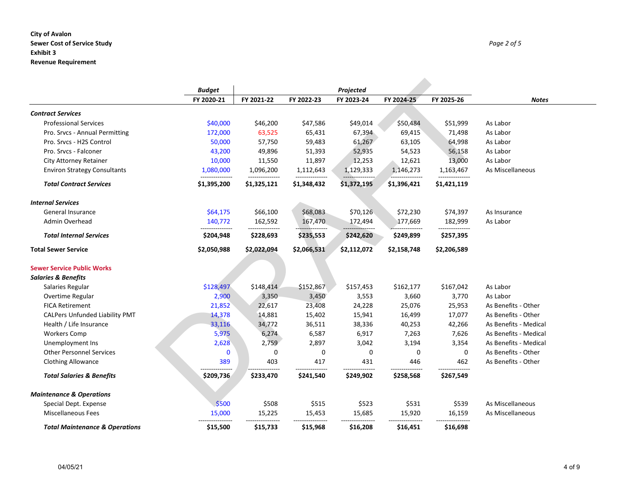#### **City of Avalon Sewer Cost of Service Study** *Page 2 of 5* **Exhibit 3 Revenue Requirement**

|                                           | <b>Budget</b> |             |             |                         |             |             |                       |
|-------------------------------------------|---------------|-------------|-------------|-------------------------|-------------|-------------|-----------------------|
|                                           | FY 2020-21    | FY 2021-22  | FY 2022-23  | Projected<br>FY 2023-24 | FY 2024-25  | FY 2025-26  | <b>Notes</b>          |
| <b>Contract Services</b>                  |               |             |             |                         |             |             |                       |
| <b>Professional Services</b>              | \$40,000      | \$46,200    | \$47,586    | \$49,014                | \$50,484    | \$51,999    | As Labor              |
| Pro. Srvcs - Annual Permitting            | 172,000       | 63,525      | 65,431      | 67,394                  | 69,415      | 71,498      | As Labor              |
| Pro. Srvcs - H2S Control                  | 50,000        | 57,750      | 59,483      | 61,267                  | 63,105      | 64,998      | As Labor              |
| Pro. Srvcs - Falconer                     | 43,200        | 49,896      | 51,393      | 52,935                  | 54,523      | 56,158      | As Labor              |
| <b>City Attorney Retainer</b>             | 10,000        | 11,550      | 11,897      | 12,253                  | 12,621      | 13,000      | As Labor              |
| <b>Environ Strategy Consultants</b>       | 1,080,000     | 1,096,200   | 1,112,643   | 1,129,333               | 1,146,273   | 1,163,467   | As Miscellaneous      |
| <b>Total Contract Services</b>            | \$1,395,200   | \$1,325,121 | \$1,348,432 | \$1,372,195             | \$1,396,421 | \$1,421,119 |                       |
| <b>Internal Services</b>                  |               |             |             |                         |             |             |                       |
| General Insurance                         | \$64,175      | \$66,100    | \$68,083    | \$70,126                | \$72,230    | \$74,397    | As Insurance          |
| <b>Admin Overhead</b>                     | 140,772       | 162,592     | 167,470     | 172,494                 | 177,669     | 182,999     | As Labor              |
| <b>Total Internal Services</b>            | \$204,948     | \$228,693   | \$235,553   | \$242,620               | \$249,899   | \$257,395   |                       |
| <b>Total Sewer Service</b>                | \$2,050,988   | \$2,022,094 | \$2,066,531 | \$2,112,072             | \$2,158,748 | \$2,206,589 |                       |
| <b>Sewer Service Public Works</b>         |               |             |             |                         |             |             |                       |
| <b>Salaries &amp; Benefits</b>            |               |             |             |                         |             |             |                       |
| Salaries Regular                          | \$128,497     | \$148,414   | \$152,867   | \$157,453               | \$162,177   | \$167,042   | As Labor              |
| Overtime Regular                          | 2,900         | 3,350       | 3,450       | 3,553                   | 3,660       | 3,770       | As Labor              |
| <b>FICA Retirement</b>                    | 21,852        | 22,617      | 23,408      | 24,228                  | 25,076      | 25,953      | As Benefits - Other   |
| <b>CALPers Unfunded Liability PMT</b>     | 14,378        | 14,881      | 15,402      | 15,941                  | 16,499      | 17,077      | As Benefits - Other   |
| Health / Life Insurance                   | 33,116        | 34,772      | 36,511      | 38,336                  | 40,253      | 42,266      | As Benefits - Medical |
| <b>Workers Comp</b>                       | 5,975         | 6,274       | 6,587       | 6,917                   | 7,263       | 7,626       | As Benefits - Medical |
| Unemployment Ins                          | 2,628         | 2,759       | 2,897       | 3,042                   | 3,194       | 3,354       | As Benefits - Medical |
| <b>Other Personnel Services</b>           | $\mathbf 0$   | 0           | 0           | 0                       | 0           | 0           | As Benefits - Other   |
| <b>Clothing Allowance</b>                 | 389           | 403         | 417         | 431                     | 446         | 462         | As Benefits - Other   |
| <b>Total Salaries &amp; Benefits</b>      | \$209,736     | \$233,470   | \$241,540   | \$249,902               | \$258,568   | \$267,549   |                       |
| <b>Maintenance &amp; Operations</b>       |               |             |             |                         |             |             |                       |
| Special Dept. Expense                     | \$500         | \$508       | \$515       | \$523                   | \$531       | \$539       | As Miscellaneous      |
| <b>Miscellaneous Fees</b>                 | 15,000        | 15,225      | 15,453      | 15,685                  | 15,920      | 16,159      | As Miscellaneous      |
| <b>Total Maintenance &amp; Operations</b> | \$15,500      | \$15,733    | \$15,968    | \$16,208                | \$16,451    | \$16,698    |                       |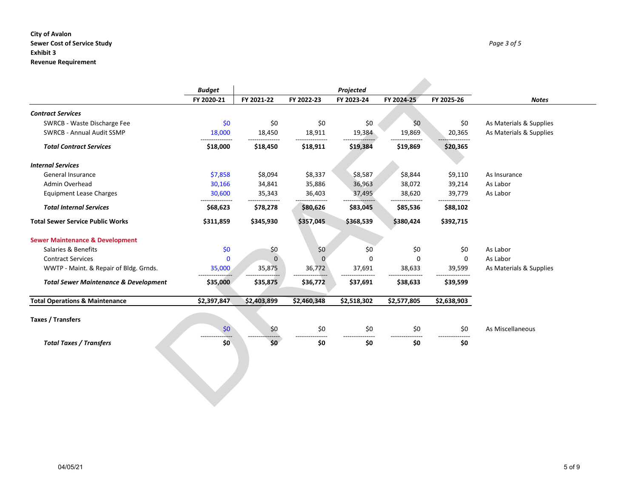#### **City of Avalon Sewer Cost of Service Study** *Page 3 of 5* **Exhibit 3 Revenue Requirement**

|                                                  | <b>Budget</b><br>FY 2020-21 | Projected<br>FY 2021-22<br>FY 2022-23<br>FY 2025-26<br>FY 2023-24<br>FY 2024-25 |             |             |             |             |                         |
|--------------------------------------------------|-----------------------------|---------------------------------------------------------------------------------|-------------|-------------|-------------|-------------|-------------------------|
|                                                  |                             |                                                                                 |             |             |             |             | <b>Notes</b>            |
| <b>Contract Services</b>                         |                             |                                                                                 |             |             |             |             |                         |
| SWRCB - Waste Discharge Fee                      | \$0                         | \$0                                                                             | \$0         | \$0         | \$0         | \$0         | As Materials & Supplies |
| <b>SWRCB - Annual Audit SSMP</b>                 | 18,000                      | 18,450                                                                          | 18,911      | 19,384      | 19,869      | 20,365      | As Materials & Supplies |
| <b>Total Contract Services</b>                   | \$18,000                    | \$18,450                                                                        | \$18,911    | \$19,384    | \$19,869    | \$20,365    |                         |
| <b>Internal Services</b>                         |                             |                                                                                 |             |             |             |             |                         |
| General Insurance                                | \$7,858                     | \$8,094                                                                         | \$8,337     | \$8,587     | \$8,844     | \$9,110     | As Insurance            |
| Admin Overhead                                   | 30,166                      | 34,841                                                                          | 35,886      | 36,963      | 38,072      | 39,214      | As Labor                |
| <b>Equipment Lease Charges</b>                   | 30,600                      | 35,343                                                                          | 36,403      | 37,495      | 38,620      | 39,779      | As Labor                |
| <b>Total Internal Services</b>                   | \$68,623                    | \$78,278                                                                        | \$80,626    | \$83,045    | \$85,536    | \$88,102    |                         |
| <b>Total Sewer Service Public Works</b>          | \$311,859                   | \$345,930                                                                       | \$357,045   | \$368,539   | \$380,424   | \$392,715   |                         |
| <b>Sewer Maintenance &amp; Development</b>       |                             |                                                                                 |             |             |             |             |                         |
| Salaries & Benefits                              | \$0                         | \$0                                                                             | \$0         | \$0         | \$0         | \$0         | As Labor                |
| <b>Contract Services</b>                         | $\mathbf 0$                 | $\Omega$                                                                        | $\Omega$    | $\Omega$    | $\Omega$    | 0           | As Labor                |
| WWTP - Maint. & Repair of Bldg. Grnds.           | 35,000                      | 35,875                                                                          | 36,772      | 37,691      | 38,633      | 39,599      | As Materials & Supplies |
| <b>Total Sewer Maintenance &amp; Development</b> | \$35,000                    | \$35,875                                                                        | \$36,772    | \$37,691    | \$38,633    | \$39,599    |                         |
| <b>Total Operations &amp; Maintenance</b>        | \$2,397,847                 | \$2,403,899                                                                     | \$2,460,348 | \$2,518,302 | \$2,577,805 | \$2,638,903 |                         |
| <b>Taxes / Transfers</b>                         |                             |                                                                                 |             |             |             |             |                         |
|                                                  | \$0                         | \$0                                                                             | \$0         | \$0         | \$0         | \$0         | As Miscellaneous        |
| <b>Total Taxes / Transfers</b>                   | \$0                         | \$0                                                                             | \$0         | \$0         | \$0         | \$0         |                         |
|                                                  |                             |                                                                                 |             |             |             |             |                         |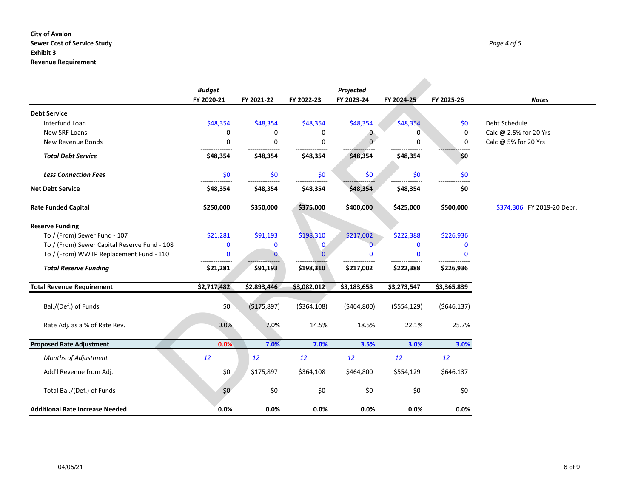#### **City of Avalon Sewer Cost of Service Study** *Page 4 of 5* **Exhibit 3 Revenue Requirement**

|                                              | Projected<br><b>Budget</b> |              |               |              |              |             |                            |
|----------------------------------------------|----------------------------|--------------|---------------|--------------|--------------|-------------|----------------------------|
|                                              | FY 2020-21                 | FY 2021-22   | FY 2022-23    | FY 2023-24   | FY 2024-25   | FY 2025-26  | <b>Notes</b>               |
| <b>Debt Service</b>                          |                            |              |               |              |              |             |                            |
| Interfund Loan                               | \$48,354                   | \$48,354     | \$48,354      | \$48,354     | \$48,354     | \$0         | Debt Schedule              |
| New SRF Loans                                | 0                          | 0            | 0             | 0            | 0            | 0           | Calc @ 2.5% for 20 Yrs     |
| New Revenue Bonds                            | 0                          | 0            | 0             | $\mathbf{0}$ | 0            | $\mathbf 0$ | Calc @ 5% for 20 Yrs       |
| <b>Total Debt Service</b>                    | \$48,354                   | \$48,354     | \$48,354      | \$48,354     | \$48,354     | \$0         |                            |
| <b>Less Connection Fees</b>                  | \$0                        | \$0          | \$0           | \$0          | \$0          | \$0         |                            |
| <b>Net Debt Service</b>                      | \$48,354                   | \$48,354     | \$48,354      | \$48,354     | \$48,354     | \$0         |                            |
| <b>Rate Funded Capital</b>                   | \$250,000                  | \$350,000    | \$375,000     | \$400,000    | \$425,000    | \$500,000   | \$374,306 FY 2019-20 Depr. |
| <b>Reserve Funding</b>                       |                            |              |               |              |              |             |                            |
| To / (From) Sewer Fund - 107                 | \$21,281                   | \$91,193     | \$198,310     | \$217,002    | \$222,388    | \$226,936   |                            |
| To / (From) Sewer Capital Reserve Fund - 108 | 0                          | $\mathbf 0$  | $\mathbf{0}$  | $\Omega$     | $\mathbf{0}$ | 0           |                            |
| To / (From) WWTP Replacement Fund - 110      | $\mathbf{0}$               | $\mathbf{0}$ | n             | $\mathbf{0}$ | $\Omega$     | $\Omega$    |                            |
| <b>Total Reserve Funding</b>                 | \$21,281                   | \$91,193     | \$198,310     | \$217,002    | \$222,388    | \$226,936   |                            |
| <b>Total Revenue Requirement</b>             | \$2,717,482                | \$2,893,446  | \$3,082,012   | \$3,183,658  | \$3,273,547  | \$3,365,839 |                            |
| Bal./(Def.) of Funds                         | \$0                        | (\$175,897)  | ( \$364, 108) | (5464,800)   | (5554, 129)  | (5646, 137) |                            |
| Rate Adj. as a % of Rate Rev.                | 0.0%                       | 7.0%         | 14.5%         | 18.5%        | 22.1%        | 25.7%       |                            |
| <b>Proposed Rate Adjustment</b>              | 0.0%                       | 7.0%         | 7.0%          | 3.5%         | 3.0%         | 3.0%        |                            |
| Months of Adjustment                         | 12                         | 12           | 12            | 12           | 12           | 12          |                            |
| Add'l Revenue from Adj.                      | \$0                        | \$175,897    | \$364,108     | \$464,800    | \$554,129    | \$646,137   |                            |
| Total Bal./(Def.) of Funds                   | \$0\$                      | \$0          | \$0           | \$0          | \$0          | \$0         |                            |
| <b>Additional Rate Increase Needed</b>       | 0.0%                       | 0.0%         | 0.0%          | 0.0%         | 0.0%         | 0.0%        |                            |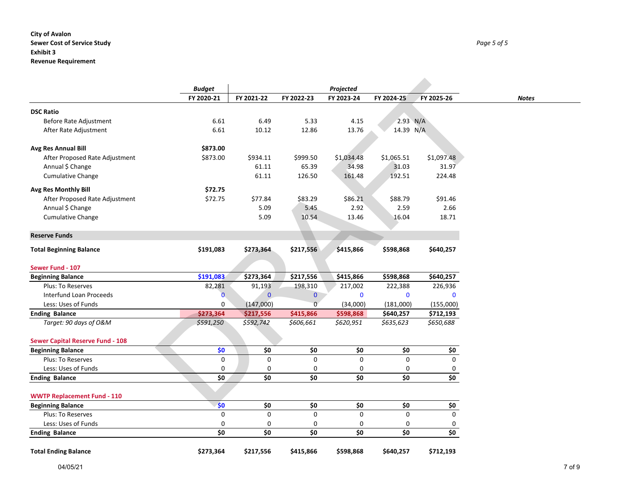#### **City of Avalon Sewer Cost of Service Study** *Page 5 of 5* **Exhibit 3 Revenue Requirement**

|                                         | <b>Budget</b>  |                |              | Projected   |              |              |
|-----------------------------------------|----------------|----------------|--------------|-------------|--------------|--------------|
|                                         | FY 2020-21     | FY 2021-22     | FY 2022-23   | FY 2023-24  | FY 2024-25   | FY 2025-26   |
|                                         |                |                |              |             |              |              |
| <b>DSC Ratio</b>                        |                |                |              |             |              |              |
| Before Rate Adjustment                  | 6.61           | 6.49           | 5.33         | 4.15        |              | 2.93 N/A     |
| After Rate Adjustment                   | 6.61           | 10.12          | 12.86        | 13.76       | 14.39 N/A    |              |
| Avg Res Annual Bill                     | \$873.00       |                |              |             |              |              |
| After Proposed Rate Adjustment          | \$873.00       | \$934.11       | \$999.50     | \$1,034.48  | \$1,065.51   | \$1,097.48   |
| Annual \$ Change                        |                | 61.11          | 65.39        | 34.98       | 31.03        | 31.97        |
| <b>Cumulative Change</b>                |                | 61.11          | 126.50       | 161.48      | 192.51       | 224.48       |
| Avg Res Monthly Bill                    | \$72.75        |                |              |             |              |              |
| After Proposed Rate Adjustment          | \$72.75        | \$77.84        | \$83.29      | \$86.21     | \$88.79      | \$91.46      |
| Annual \$ Change                        |                | 5.09           | 5.45         | 2.92        | 2.59         | 2.66         |
| Cumulative Change                       |                | 5.09           | 10.54        | 13.46       | 16.04        | 18.71        |
|                                         |                |                |              |             |              |              |
| <b>Reserve Funds</b>                    |                |                |              |             |              |              |
| <b>Total Beginning Balance</b>          | \$191,083      | \$273,364      | \$217,556    | \$415,866   | \$598,868    | \$640,257    |
|                                         |                |                |              |             |              |              |
| Sewer Fund - 107                        |                |                |              |             |              |              |
| <b>Beginning Balance</b>                | \$191,083      | \$273,364      | \$217,556    | \$415,866   | \$598,868    | \$640,257    |
| Plus: To Reserves                       | 82,281         | 91,193         | 198,310      | 217,002     | 222,388      | 226,936      |
| Interfund Loan Proceeds                 | $\overline{0}$ | $\overline{0}$ | $\mathbf{0}$ | $\mathbf 0$ | $\mathbf{0}$ | $\mathbf{0}$ |
| Less: Uses of Funds                     | 0              | (147,000)      | $\Omega$     | (34,000)    | (181,000)    | (155,000)    |
| <b>Ending Balance</b>                   | \$273,364      | \$217,556      | \$415,866    | \$598,868   | \$640,257    | \$712,193    |
| Target: 90 days of O&M                  | \$591,250      | \$592,742      | \$606,661    | \$620,951   | \$635,623    | \$650,688    |
| <b>Sewer Capital Reserve Fund - 108</b> |                |                |              |             |              |              |
| <b>Beginning Balance</b>                | \$0            | \$0            | \$0          | \$0         | \$0          | \$0          |
| <b>Plus: To Reserves</b>                | 0              | 0              | $\mathbf 0$  | 0           | 0            | $\Omega$     |
| Less: Uses of Funds                     | 0              | 0              | 0            | 0           | 0            | 0            |
| <b>Ending Balance</b>                   | \$0            | \$0            | \$0          | \$0         | \$0          | \$0          |
|                                         |                |                |              |             |              |              |
| <b>WWTP Replacement Fund - 110</b>      |                |                |              |             |              |              |
| <b>Beginning Balance</b>                | \$0            | \$0            | \$0          | \$0         | \$0          | \$0          |
| Plus: To Reserves                       | 0              | 0              | $\mathsf 0$  | 0           | 0            | $\mathbf 0$  |
| Less: Uses of Funds                     | 0              | 0              | 0            | 0           | 0            | 0            |
| <b>Ending Balance</b>                   | \$0            | \$0            | \$0          | \$0         | \$0          | \$0          |
| <b>Total Ending Balance</b>             | \$273,364      | \$217,556      | \$415,866    | \$598,868   | \$640,257    | \$712,193    |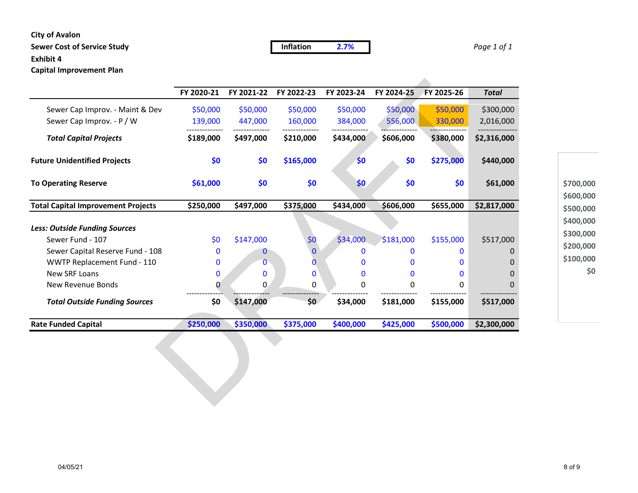### **City of Avalon**

## **Sewer Cost of Service Study Inflation 2.7%** *Page 1 of 1*

**Exhibit 4**

**Capital Improvement Plan**

|                                           | FY 2020-21 | FY 2021-22  | FY 2022-23   | FY 2023-24   | FY 2024-25 | FY 2025-26   | <b>Total</b> |  |  |  |  |
|-------------------------------------------|------------|-------------|--------------|--------------|------------|--------------|--------------|--|--|--|--|
| Sewer Cap Improv. - Maint & Dev           | \$50,000   | \$50,000    | \$50,000     | \$50,000     | \$50,000   | \$50,000     | \$300,000    |  |  |  |  |
| Sewer Cap Improv. - P / W                 | 139,000    | 447,000     | 160,000      | 384,000      | 556,000    | 330,000      | 2,016,000    |  |  |  |  |
| <b>Total Capital Projects</b>             | \$189,000  | \$497,000   | \$210,000    | \$434,000    | \$606,000  | \$380,000    | \$2,316,000  |  |  |  |  |
| <b>Future Unidentified Projects</b>       | \$0        | \$0         | \$165,000    | \$0          | \$0        | \$275,000    | \$440,000    |  |  |  |  |
| <b>To Operating Reserve</b>               | \$61,000   | \$0         | \$0          | \$0          | \$0        | \$0          | \$61,000     |  |  |  |  |
| <b>Total Capital Improvement Projects</b> | \$250,000  | \$497,000   | \$375,000    | \$434,000    | \$606,000  | \$655,000    | \$2,817,000  |  |  |  |  |
| <b>Less: Outside Funding Sources</b>      |            |             |              |              |            |              |              |  |  |  |  |
| Sewer Fund - 107                          | \$0        | \$147,000   | \$0          | \$34,000     | \$181,000  | \$155,000    | \$517,000    |  |  |  |  |
| Sewer Capital Reserve Fund - 108          | 0          | $\bf{0}$    | $\mathbf{0}$ | $\bf{0}$     | 0          | $\mathbf{0}$ |              |  |  |  |  |
| WWTP Replacement Fund - 110               | 0          | $\mathbf 0$ | 0            | $\bf{0}$     | 0          | 0            | O            |  |  |  |  |
| New SRF Loans                             | 0          | $\mathbf 0$ | $\mathbf 0$  | $\mathbf{0}$ | 0          | 0            | 0            |  |  |  |  |
| New Revenue Bonds                         | 0          | 0           | 0            | 0            | 0          | 0            | 0            |  |  |  |  |
| <b>Total Outside Funding Sources</b>      | \$0        | \$147,000   | \$0          | \$34,000     | \$181,000  | \$155,000    | \$517,000    |  |  |  |  |
| <b>Rate Funded Capital</b>                | \$250,000  | \$350,000   | \$375,000    | \$400,000    | \$425,000  | \$500,000    | \$2,300,000  |  |  |  |  |

**\$0 \$100,000 \$200,000 \$300,000 \$400,000 \$500,000 \$600,000 \$700,000**